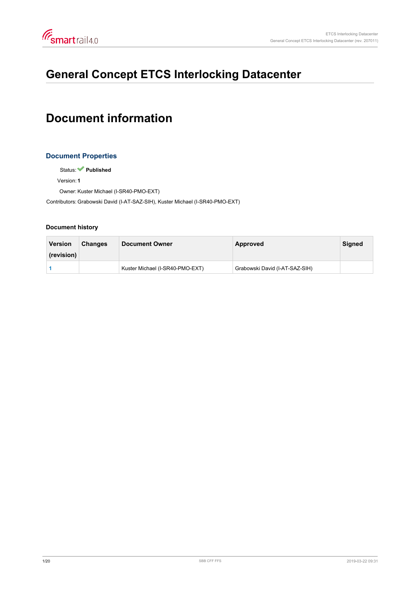<span id="page-0-0"></span>

# **General Concept ETCS Interlocking Datacenter**

# **Document information**

# **Document Properties**

Status: **Published**

Version: **1**

Owner: Kuster Michael (I-SR40-PMO-EXT)

Contributors: Grabowski David (I-AT-SAZ-SIH), Kuster Michael (I-SR40-PMO-EXT)

#### **Document history**

| <b>Version</b> | <b>Changes</b> | <b>Document Owner</b>           | Approved                       | <b>Signed</b> |
|----------------|----------------|---------------------------------|--------------------------------|---------------|
| (revision)     |                |                                 |                                |               |
|                |                | Kuster Michael (I-SR40-PMO-EXT) | Grabowski David (I-AT-SAZ-SIH) |               |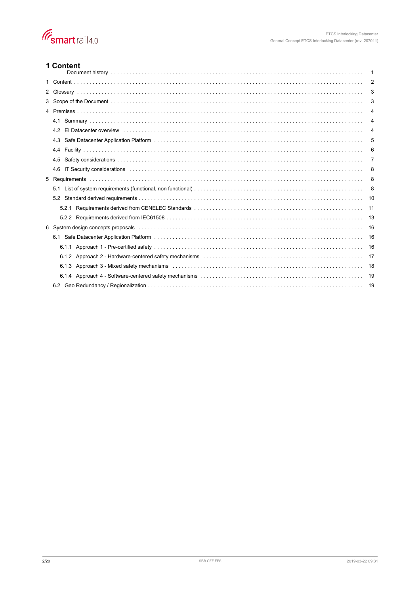# 1 Content

| 1 Content                                                                                                                    | -1             |
|------------------------------------------------------------------------------------------------------------------------------|----------------|
|                                                                                                                              | $\overline{2}$ |
|                                                                                                                              | 3              |
|                                                                                                                              | 3              |
|                                                                                                                              | 4              |
|                                                                                                                              | 4              |
|                                                                                                                              | 4              |
|                                                                                                                              | 5              |
|                                                                                                                              | 6              |
|                                                                                                                              | 7              |
| 4.6                                                                                                                          | 8              |
|                                                                                                                              | 8              |
|                                                                                                                              | 8              |
|                                                                                                                              | 10             |
|                                                                                                                              | 11             |
|                                                                                                                              | 13             |
| 6 System design concepts proposals entertainment containment container and statement of the system design concepts proposals | 16             |
|                                                                                                                              | 16             |
|                                                                                                                              | 16             |
|                                                                                                                              | 17             |
|                                                                                                                              | 18             |
|                                                                                                                              | 19             |
|                                                                                                                              | 19             |
|                                                                                                                              |                |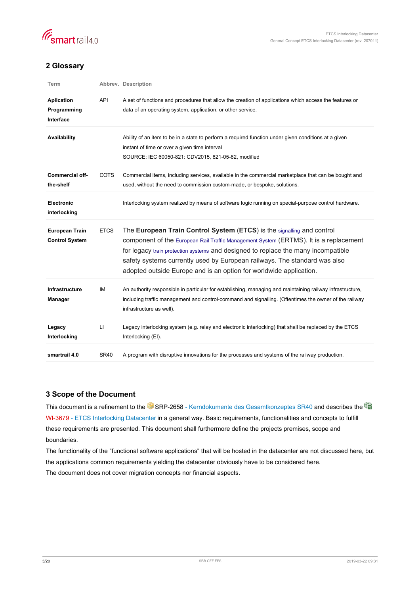<span id="page-2-0"></span>

# **2 Glossary**

| Term                                           |             | Abbrev. Description                                                                                                                                                                                                                                                                                                                                                                                     |
|------------------------------------------------|-------------|---------------------------------------------------------------------------------------------------------------------------------------------------------------------------------------------------------------------------------------------------------------------------------------------------------------------------------------------------------------------------------------------------------|
| <b>Aplication</b><br>Programming<br>Interface  | API         | A set of functions and procedures that allow the creation of applications which access the features or<br>data of an operating system, application, or other service.                                                                                                                                                                                                                                   |
| Availability                                   |             | Ability of an item to be in a state to perform a required function under given conditions at a given<br>instant of time or over a given time interval<br>SOURCE: IEC 60050-821: CDV2015, 821-05-82, modified                                                                                                                                                                                            |
| <b>Commercial off-</b><br>the-shelf            | <b>COTS</b> | Commercial items, including services, available in the commercial marketplace that can be bought and<br>used, without the need to commission custom-made, or bespoke, solutions.                                                                                                                                                                                                                        |
| <b>Electronic</b><br>interlocking              |             | Interlocking system realized by means of software logic running on special-purpose control hardware.                                                                                                                                                                                                                                                                                                    |
| <b>European Train</b><br><b>Control System</b> | <b>ETCS</b> | The European Train Control System (ETCS) is the signalling and control<br>component of the European Rail Traffic Management System (ERTMS). It is a replacement<br>for legacy train protection systems and designed to replace the many incompatible<br>safety systems currently used by European railways. The standard was also<br>adopted outside Europe and is an option for worldwide application. |
| <b>Infrastructure</b><br><b>Manager</b>        | IM          | An authority responsible in particular for establishing, managing and maintaining railway infrastructure,<br>including traffic management and control-command and signalling. (Oftentimes the owner of the railway<br>infrastructure as well).                                                                                                                                                          |
| Legacy<br>Interlocking                         | П           | Legacy interlocking system (e.g. relay and electronic interlocking) that shall be replaced by the ETCS<br>Interlocking (EI).                                                                                                                                                                                                                                                                            |
| smartrail 4.0                                  | <b>SR40</b> | A program with disruptive innovations for the processes and systems of the railway production.                                                                                                                                                                                                                                                                                                          |

# **3 Scope of the Document**

This document is a refinement to the [SRP-2658 - Kerndokumente des Gesamtkonzeptes SR40](https://trace.sbb.ch/polarion/#/project/SR40_Programm/workitem?id=SRP-2658)and describes the <sup>@</sup> [WI-3679 - ETCS Interlocking Datacenter](https://trace.sbb.ch/polarion/#/project/library/workitem?id=WI-3679) in a general way. Basic requirements, functionalities and concepts to fulfill these requirements are presented. This document shall furthermore define the projects premises, scope and boundaries.

The functionality of the "functional software applications" that will be hosted in the datacenter are not discussed here, but the applications common requirements yielding the datacenter obviously have to be considered here. The document does not cover migration concepts nor financial aspects.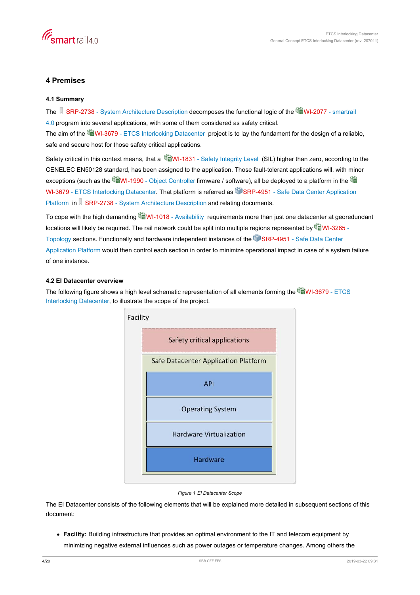# <span id="page-3-0"></span>**4 Premises**

## **4.1 Summary**

The [SRP-2738 - System Architecture Description](https://trace.sbb.ch/polarion/#/project/SR40_Programm/workitem?id=SRP-2738) decomposes the functional logic of the [WI-2077 - smartrail](https://trace.sbb.ch/polarion/#/project/library/workitem?id=WI-2077) [4.0](https://trace.sbb.ch/polarion/#/project/library/workitem?id=WI-2077) program into several applications, with some of them considered as safety critical.

The aim of the [WI-3679 - ETCS Interlocking Datacenter](https://trace.sbb.ch/polarion/#/project/library/workitem?id=WI-3679) project is to lay the fundament for the design of a reliable, safe and secure host for those safety critical applications.

Safety critical in this context means, that a [WI-1831 - Safety Integrity Level](https://trace.sbb.ch/polarion/#/project/library/workitem?id=WI-1831) (SIL) higher than zero, according to the CENELEC EN50128 standard, has been assigned to the application. Those fault-tolerant applications will, with minor exceptions(such as the  $\blacksquare$ WI-1990 - Object Controller firmware / software), all be deployed to a platform in the  $\blacksquare$ [WI-3679 - ETCS Interlocking Datacenter](https://trace.sbb.ch/polarion/#/project/library/workitem?id=WI-3679). That platform is referred as **SO**[SRP-4951 - Safe Data Center Application](https://trace.sbb.ch/polarion/#/project/SR40_Programm/workitem?id=SRP-4951) [Platform](https://trace.sbb.ch/polarion/#/project/SR40_Programm/workitem?id=SRP-4951) i[n](https://trace.sbb.ch/polarion/#/project/SR40_Programm/workitem?id=SRP-2738) [SRP-2738 - System Architecture Description](https://trace.sbb.ch/polarion/#/project/SR40_Programm/workitem?id=SRP-2738) and relating documents.

To cope with the high demanding [WI-1018 - Availability](https://trace.sbb.ch/polarion/#/project/library/workitem?id=WI-1018) requirements more than just one datacenter at georedundant locations will likely be required. The rail network could be split into multiple regions represented by **WI-3265** -[Topology](https://trace.sbb.ch/polarion/#/project/library/workitem?id=WI-3265) sections. Functionally and hardware independent instances of the [SRP-4951 - Safe Data Center](https://trace.sbb.ch/polarion/#/project/SR40_Programm/workitem?id=SRP-4951) [Application Platform](https://trace.sbb.ch/polarion/#/project/SR40_Programm/workitem?id=SRP-4951) would then control each section in order to minimize operational impact in case of a system failure of one instance.

# **4.2 EI Datacenter overview**

The following figure shows a high level schematic representation of all elements forming the [WI-3679 - ETCS](https://trace.sbb.ch/polarion/#/project/library/workitem?id=WI-3679) [Interlocking Datacenter](https://trace.sbb.ch/polarion/#/project/library/workitem?id=WI-3679), to illustrate the scope of the project.



#### *Figure 1 EI Datacenter Scope*

The EI Datacenter consists of the following elements that will be explained more detailed in subsequent sections of this document:

**Facility:** Building infrastructure that provides an optimal environment to the IT and telecom equipment by minimizing negative external influences such as power outages or temperature changes. Among others the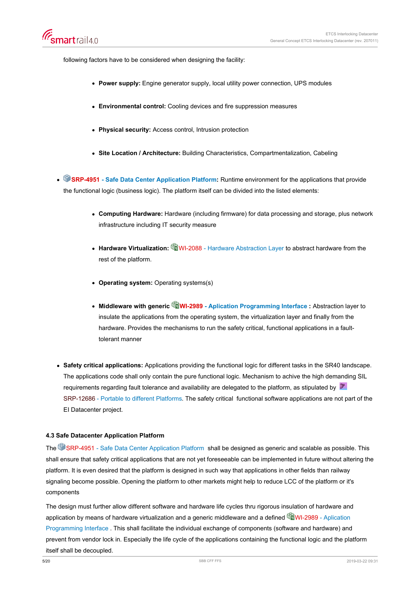<span id="page-4-0"></span>following factors have to be considered when designing the facility:

- **Power supply:** Engine generator supply, local utility power connection, UPS modules
- **Environmental control:** Cooling devices and fire suppression measures
- **Physical security:** Access control, Intrusion protection
- **Site Location / Architecture:** Building Characteristics, Compartmentalization, Cabeling
- **[SRP-4951 Safe Data Center Application Platform](https://trace.sbb.ch/polarion/#/project/SR40_Programm/workitem?id=SRP-4951):** Runtime environment for the applications that provide the functional logic (business logic). The platform itself can be divided into the listed elements:
	- **Computing Hardware:** Hardware (including firmware) for data processing and storage, plus network infrastructure including IT security measure
	- Hardware Virtualization: W**I-2088 Hardware Abstraction Layer** to abstract hardware from the rest of the platform.
	- **Operating system:** Operating systems(s)
	- **Middleware with generic [WI-2989 Aplication Programming Interface](https://trace.sbb.ch/polarion/#/project/library/workitem?id=WI-2989) :** Abstraction layer to insulate the applications from the operating system, the virtualization layer and finally from the hardware. Provides the mechanisms to run the safety critical, functional applications in a faulttolerant manner
- **Safety critical applications:** Applications providing the functional logic for different tasks in the SR40 landscape. The applications code shall only contain the pure functional logic. Mechanism to achive the high demanding SIL requirements regarding fault tolerance and availability are delegated to the platform, as stipulated by  $\mathbb{F}$ [SRP-12686 - Portable to different Platforms](https://trace.sbb.ch/polarion/#/project/SR40_Programm/workitem?id=SRP-12686). The safety critical functional software applications are not part of the EI Datacenter project.

#### **4.3 Safe Datacenter Application Platform**

The [SRP-4951 - Safe Data Center Application Platform](https://trace.sbb.ch/polarion/#/project/SR40_Programm/workitem?id=SRP-4951) shall be designed as generic and scalable as possible. This shall ensure that safety critical applications that are not yet foreseeable can be implemented in future without altering the platform. It is even desired that the platform is designed in such way that applications in other fields than railway signaling become possible. Opening the platform to other markets might help to reduce LCC of the platform or it's components

The design must further allow different software and hardware life cycles thru rigorous insulation of hardware and application by means of hardware virtualization and a generic middleware and a defined  $\bullet$  [WI-2989 - Aplication](https://trace.sbb.ch/polarion/#/project/library/workitem?id=WI-2989) [Programming Interface](https://trace.sbb.ch/polarion/#/project/library/workitem?id=WI-2989) . This shall facilitate the individual exchange of components (software and hardware) and prevent from vendor lock in. Especially the life cycle of the applications containing the functional logic and the platform itself shall be decoupled.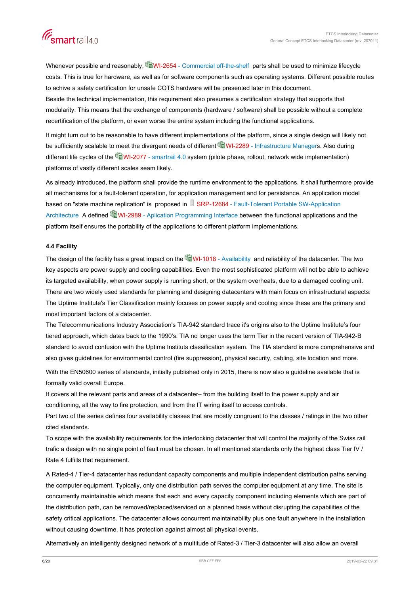<span id="page-5-0"></span>

Whenever possible and reasonably, **W**I-2654 - Commercial off-the-shelf parts shall be used to minimize lifecycle costs. This is true for hardware, as well as for software components such as operating systems. Different possible routes to achive a safety certification for unsafe COTS hardware will be presented later in this document. Beside the technical implementation, this requirement also presumes a certification strategy that supports that modularity. This means that the exchange of components (hardware / software) shall be possible without a complete recertification of the platform, or even worse the entire system including the functional applications.

It might turn out to be reasonable to have different implementations of the platform, since a single design will likely not be sufficiently scalable to meet the divergent needs of different [WI-2289 - Infrastructure Manager](https://trace.sbb.ch/polarion/#/project/library/workitem?id=WI-2289)s. Also during different life cycles of the **C**NI-2077 - smartrail 4.0 system (pilote phase, rollout, network wide implementation) platforms of vastly different scales seam likely.

As already introduced, the platform shall provide the runtime environment to the applications. It shall furthermore provide all mechanisms for a fault-tolerant operation, for application management and for persistance. An application model based on "state machine replication" is proposed in  $\vert \lambda \vert$  [SRP-12684 - Fault-Tolerant Portable SW-Application](https://trace.sbb.ch/polarion/#/project/SR40_Programm/workitem?id=SRP-12684) [Architecture](https://trace.sbb.ch/polarion/#/project/SR40_Programm/workitem?id=SRP-12684) A defined **WI-2989** - Aplication Programming Interface between the functional applications and the platform itself ensures the portability of the applications to different platform implementations.

#### **4.4 Facility**

The design of the facility has a great impact on the **WI-1018** - Availability and reliability of the datacenter. The two key aspects are power supply and cooling capabilities. Even the most sophisticated platform will not be able to achieve its targeted availability, when power supply is running short, or the system overheats, due to a damaged cooling unit. There are two widely used standards for planning and designing datacenters with main focus on infrastructural aspects: The Uptime Institute's Tier Classification mainly focuses on power supply and cooling since these are the primary and most important factors of a datacenter.

The Telecommunications Industry Association's TIA-942 standard trace it's origins also to the Uptime Institute's four tiered approach, which dates back to the 1990's. TIA no longer uses the term Tier in the recent version of TIA-942-B standard to avoid confusion with the Uptime Instituts classification system. The TIA standard is more comprehensive and also gives guidelines for environmental control (fire suppression), physical security, cabling, site location and more.

With the EN50600 series of standards, initially published only in 2015, there is now also a guideline available that is formally valid overall Europe.

It covers all the relevant parts and areas of a datacenter– from the building itself to the power supply and air conditioning, all the way to fire protection, and from the IT wiring itself to access controls.

Part two of the series defines four availability classes that are mostly congruent to the classes / ratings in the two other cited standards.

To scope with the availability requirements for the interlocking datacenter that will control the majority of the Swiss rail trafic a design with no single point of fault must be chosen. In all mentioned standards only the highest class Tier IV / Rate 4 fulfills that requirement.

A Rated-4 / Tier-4 datacenter has redundant capacity components and multiple independent distribution paths serving the computer equipment. Typically, only one distribution path serves the computer equipment at any time. The site is concurrently maintainable which means that each and every capacity component including elements which are part of the distribution path, can be removed/replaced/serviced on a planned basis without disrupting the capabilities of the safety critical applications. The datacenter allows concurrent maintainability plus one fault anywhere in the installation without causing downtime. It has protection against almost all physical events.

Alternatively an intelligently designed network of a multitude of Rated-3 / Tier-3 datacenter will also allow an overall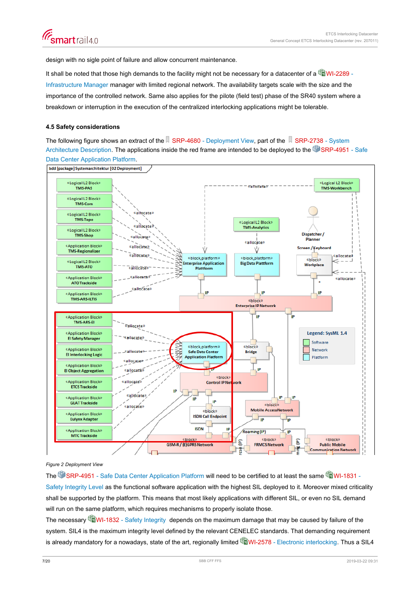<span id="page-6-0"></span>design with no sigle point of failure and allow concurrent maintenance.

It shall be noted that those high demands to the facility might not be necessary for a datacenter of a  $\mathbb{Q}$ WI-2289 -[Infrastructure Manager](https://trace.sbb.ch/polarion/#/project/library/workitem?id=WI-2289) manager with limited regional network. The availability targets scale with the size and the importance of the controlled network. Same also applies for the pilote (field test) phase of the SR40 system where a breakdown or interruption in the execution of the centralized interlocking applications might be tolerable.

#### **4.5 Safety considerations**

Th[e](https://trace.sbb.ch/polarion/#/project/SR40_Programm/workitem?id=SRP-4680) following figure shows an extract of the  $\mathbb R$  [SRP-4680 - Deployment View](https://trace.sbb.ch/polarion/#/project/SR40_Programm/workitem?id=SRP-4680), part of the  $\mathbb R$  [SRP-2738 - System](https://trace.sbb.ch/polarion/#/project/SR40_Programm/workitem?id=SRP-2738) [Architecture Description](https://trace.sbb.ch/polarion/#/project/SR40_Programm/workitem?id=SRP-2738). The applications inside the red frame are intended to be deployed to the [SRP-4951 - Safe](https://trace.sbb.ch/polarion/#/project/SR40_Programm/workitem?id=SRP-4951) [Data Center Application Platform](https://trace.sbb.ch/polarion/#/project/SR40_Programm/workitem?id=SRP-4951).



bdd [package] Systemarchitektur [02 Deployment]

# *Figure 2 Deployment View*

The [SRP-4951 - Safe Data Center Application Platform](https://trace.sbb.ch/polarion/#/project/SR40_Programm/workitem?id=SRP-4951) will need to be certified to at least the same [WI-1831 -](https://trace.sbb.ch/polarion/#/project/library/workitem?id=WI-1831) [Safety Integrity Level](https://trace.sbb.ch/polarion/#/project/library/workitem?id=WI-1831) as the functional software application with the highest SIL deployed to it. Moreover mixed criticality shall be supported by the platform. This means that most likely applications with different SIL, or even no SIL demand will run on the same platform, which requires mechanisms to properly isolate those.

The necessary WEWI-1832 - Safety Integrity depends on the maximum damage that may be caused by failure of the system. SIL4 is the maximum integrity level defined by the relevant CENELEC standards. That demanding requirement is already mandatory for a nowadays, state of the art, regionally limited **C**WI-2578 - Electronic interlocking. Thus a SIL4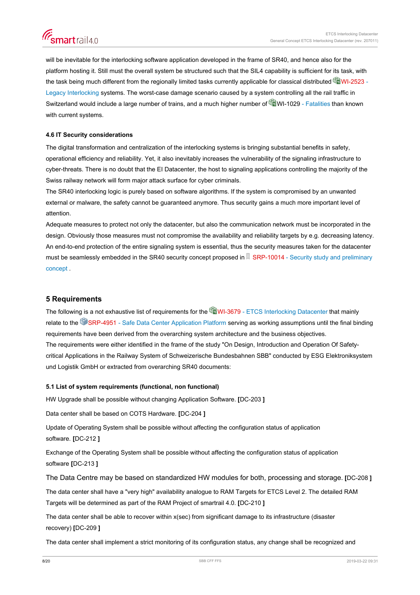<span id="page-7-0"></span>will be inevitable for the interlocking software application developed in the frame of SR40, and hence also for the platform hosting it. Still must the overall system be structured such that the SIL4 capability is sufficient for its task, with the task being much different from the regionally limited tasks currently applicable for classical distributed  $\mathbb{Q}$ WI-2523 -[Legacy Interlocking](https://trace.sbb.ch/polarion/#/project/library/workitem?id=WI-2523) systems. The worst-case damage scenario caused by a system controlling all the rail traffic in Switzerland would include a large number of trains, and a much higher number of [WI-1029 - Fatalities](https://trace.sbb.ch/polarion/#/project/library/workitem?id=WI-1029) than known with current systems.

## **4.6 IT Security considerations**

The digital transformation and centralization of the interlocking systems is bringing substantial benefits in safety, operational efficiency and reliability. Yet, it also inevitably increases the vulnerability of the signaling infrastructure to cyber-threats. There is no doubt that the EI Datacenter, the host to signaling applications controlling the majority of the Swiss railway network will form major attack surface for cyber criminals.

The SR40 interlocking logic is purely based on software algorithms. If the system is compromised by an unwanted external or malware, the safety cannot be guaranteed anymore. Thus security gains a much more important level of attention.

Adequate measures to protect not only the datacenter, but also the communication network must be incorporated in the design. Obviously those measures must not compromise the availability and reliability targets by e.g. decreasing latency. An end-to-end protection of the entire signaling system is essential, thus the security measures taken for the datacenter must be seamlessly embedded i[n](https://trace.sbb.ch/polarion/#/project/SR40_Programm/workitem?id=SRP-10014) the SR40 security concept proposed in  $\sqrt{3}$  [SRP-10014 - Security study and preliminary](https://trace.sbb.ch/polarion/#/project/SR40_Programm/workitem?id=SRP-10014) [concept](https://trace.sbb.ch/polarion/#/project/SR40_Programm/workitem?id=SRP-10014) .

## **5 Requirements**

The following is a not exhaustive list of requirements for the **Ca**WI-3679 - ETCS Interlocking Datacenter that mainly relate to the [SRP-4951 - Safe Data Center Application Platform](https://trace.sbb.ch/polarion/#/project/SR40_Programm/workitem?id=SRP-4951) serving as working assumptions until the final binding requirements have been derived from the overarching system architecture and the business objectives. The requirements were either identified in the frame of the study "On Design, Introduction and Operation Of Safetycritical Applications in the Railway System of Schweizerische Bundesbahnen SBB" conducted by ESG Elektroniksystem und Logistik GmbH or extracted from overarching SR40 documents:

#### **5.1 List of system requirements (functional, non functional)**

HW Upgrade shall be possible without changing Application Software. **[**DC-203 **]**

Data center shall be based on COTS Hardware. **[**DC-204 **]**

Update of Operating System shall be possible without affecting the configuration status of application software. **[**DC-212 **]**

Exchange of the Operating System shall be possible without affecting the configuration status of application software **[**DC-213 **]**

The Data Centre may be based on standardized HW modules for both, processing and storage. **[**DC-208 **]**

The data center shall have a "very high" availability analogue to RAM Targets for ETCS Level 2. The detailed RAM Targets will be determined as part of the RAM Project of smartrail 4.0. **[**DC-210 **]**

The data center shall be able to recover within x(sec) from significant damage to its infrastructure (disaster recovery) **[**DC-209 **]**

The data center shall implement a strict monitoring of its configuration status, any change shall be recognized and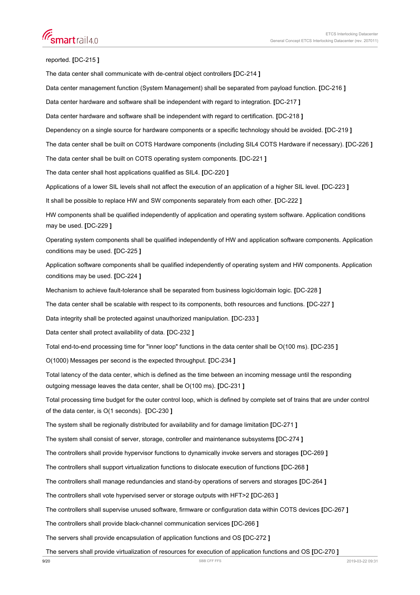reported. **[**DC-215 **]**

The data center shall communicate with de-central object controllers **[**DC-214 **]** Data center management function (System Management) shall be separated from payload function. **[**DC-216 **]** Data center hardware and software shall be independent with regard to integration. **[**DC-217 **]** Data center hardware and software shall be independent with regard to certification. **[**DC-218 **]** Dependency on a single source for hardware components or a specific technology should be avoided. **[**DC-219 **]** The data center shall be built on COTS Hardware components (including SIL4 COTS Hardware if necessary). **[**DC-226 **]** The data center shall be built on COTS operating system components. **[**DC-221 **]** The data center shall host applications qualified as SIL4. **[**DC-220 **]** Applications of a lower SIL levels shall not affect the execution of an application of a higher SIL level. **[**DC-223 **]** It shall be possible to replace HW and SW components separately from each other. **[**DC-222 **]** HW components shall be qualified independently of application and operating system software. Application conditions may be used. **[**DC-229 **]** Operating system components shall be qualified independently of HW and application software components. Application conditions may be used. **[**DC-225 **]** Application software components shall be qualified independently of operating system and HW components. Application conditions may be used. **[**DC-224 **]** Mechanism to achieve fault-tolerance shall be separated from business logic/domain logic. **[**DC-228 **]** The data center shall be scalable with respect to its components, both resources and functions. **[**DC-227 **]** Data integrity shall be protected against unauthorized manipulation. **[**DC-233 **]** Data center shall protect availability of data. **[**DC-232 **]** Total end-to-end processing time for "inner loop" functions in the data center shall be O(100 ms). **[**DC-235 **]** O(1000) Messages per second is the expected throughput. **[**DC-234 **]** Total latency of the data center, which is defined as the time between an incoming message until the responding outgoing message leaves the data center, shall be O(100 ms). **[**DC-231 **]** Total processing time budget for the outer control loop, which is defined by complete set of trains that are under control of the data center, is O(1 seconds). **[**DC-230 **]** The system shall be regionally distributed for availability and for damage limitation **[**DC-271 **]** The system shall consist of server, storage, controller and maintenance subsystems **[**DC-274 **]** The controllers shall provide hypervisor functions to dynamically invoke servers and storages **[**DC-269 **]** The controllers shall support virtualization functions to dislocate execution of functions **[**DC-268 **]** The controllers shall manage redundancies and stand-by operations of servers and storages **[**DC-264 **]** The controllers shall vote hypervised server or storage outputs with HFT>2 **[**DC-263 **]** The controllers shall supervise unused software, firmware or configuration data within COTS devices **[**DC-267 **]** The controllers shall provide black-channel communication services **[**DC-266 **]** The servers shall provide encapsulation of application functions and OS **[**DC-272 **]**

The servers shall provide virtualization of resources for execution of application functions and OS **[**DC-270 **]**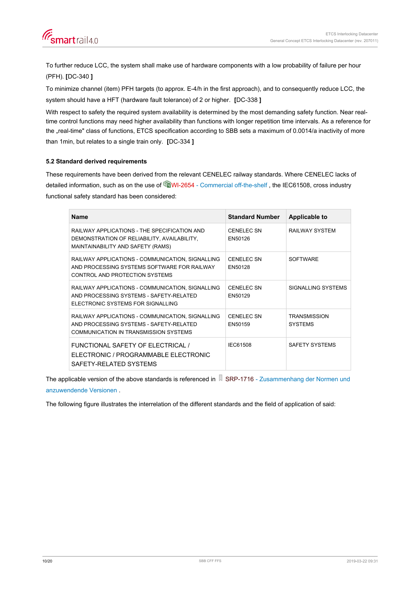<span id="page-9-0"></span>

To further reduce LCC, the system shall make use of hardware components with a low probability of failure per hour (PFH). **[**DC-340 **]**

To minimize channel (item) PFH targets (to approx. E-4/h in the first approach), and to consequently reduce LCC, the system should have a HFT (hardware fault tolerance) of 2 or higher. **[**DC-338 **]**

With respect to safety the required system availability is determined by the most demanding safety function. Near realtime control functions may need higher availability than functions with longer repetition time intervals. As a reference for the "real-time" class of functions, ETCS specification according to SBB sets a maximum of 0.0014/a inactivity of more than 1min, but relates to a single train only. **[**DC-334 **]**

## **5.2 Standard derived requirements**

These requirements have been derived from the relevant CENELEC railway standards. Where CENELEC lacks of detailed information, such as on the use of [WI-2654 - Commercial off-the-shelf](https://trace.sbb.ch/polarion/#/project/library/workitem?id=WI-2654), the IEC61508, cross industry functional safety standard has been considered:

| <b>Name</b>                                                                                                                          | <b>Standard Number</b>       | Applicable to                         |
|--------------------------------------------------------------------------------------------------------------------------------------|------------------------------|---------------------------------------|
| RAILWAY APPLICATIONS - THE SPECIFICATION AND<br>DEMONSTRATION OF RELIABILITY, AVAILABILITY,<br>MAINTAINABILITY AND SAFETY (RAMS)     | CENELEC SN<br>EN50126        | <b>RAILWAY SYSTEM</b>                 |
| RAILWAY APPLICATIONS - COMMUNICATION, SIGNALLING<br>AND PROCESSING SYSTEMS SOFTWARE FOR RAILWAY<br>CONTROL AND PROTECTION SYSTEMS    | <b>CENELEC SN</b><br>EN50128 | <b>SOFTWARE</b>                       |
| RAILWAY APPLICATIONS - COMMUNICATION, SIGNALLING<br>AND PROCESSING SYSTEMS - SAFETY-RELATED<br>FI FCTRONIC SYSTEMS FOR SIGNALLING    | <b>CENELEC SN</b><br>FN50129 | SIGNALLING SYSTEMS                    |
| RAILWAY APPLICATIONS - COMMUNICATION, SIGNALLING<br>AND PROCESSING SYSTEMS - SAFETY-RELATED<br>COMMUNICATION IN TRANSMISSION SYSTEMS | CENELEC SN<br>EN50159        | <b>TRANSMISSION</b><br><b>SYSTEMS</b> |
| FUNCTIONAL SAFETY OF ELECTRICAL /<br>ELECTRONIC / PROGRAMMABLE ELECTRONIC<br>SAFETY-RELATED SYSTEMS                                  | IFC61508                     | SAFFTY SYSTEMS                        |

The applicable version of the above standards is referenced in  $\Box$  [SRP-1716 - Zusammenhang der Normen und](https://trace.sbb.ch/polarion/#/project/SR40_Programm/workitem?id=SRP-1716) [anzuwendende Versionen](https://trace.sbb.ch/polarion/#/project/SR40_Programm/workitem?id=SRP-1716) .

The following figure illustrates the interrelation of the different standards and the field of application of said: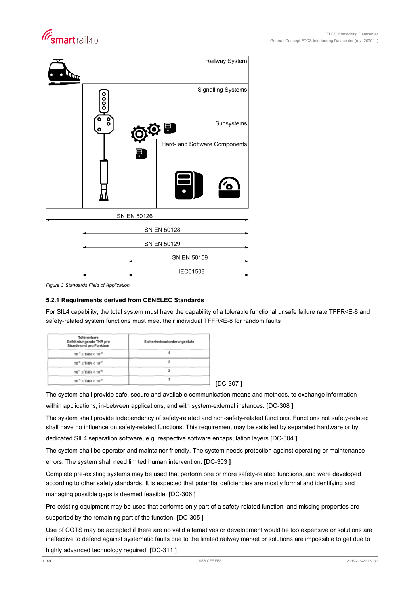<span id="page-10-0"></span>



*Figure 3 Standards Field of Application*

## **5.2.1 Requirements derived from CENELEC Standards**

For SIL4 capability, the total system must have the capability of a tolerable functional unsafe failure rate TFFR<E-8 and safety-related system functions must meet their individual TFFR<E-8 for random faults

| Tolerierbare<br>Gefahrdungsrate THR pro<br>Stunde und pro Funktion | Sicherheitsanforderungsstufe |
|--------------------------------------------------------------------|------------------------------|
| $10^{-9}$ $\leq$ THR $<$ $10^{-8}$                                 |                              |
| $10^{-6}$ ≤ THR < $10^{-7}$                                        |                              |
| $10^{-7} \leq$ THR $< 10^{-6}$                                     |                              |
| $10^{-6}$ $\leq$ THR $<$ $10^{-5}$                                 |                              |
|                                                                    |                              |

The system shall provide safe, secure and available communication means and methods, to exchange information within applications, in-between applications, and with system-external instances. **[**DC-308 **]**

The system shall provide independency of safety-related and non-safety-related functions. Functions not safety-related shall have no influence on safety-related functions. This requirement may be satisfied by separated hardware or by dedicated SIL4 separation software, e.g. respective software encapsulation layers **[**DC-304 **]**

The system shall be operator and maintainer friendly. The system needs protection against operating or maintenance errors. The system shall need limited human intervention. **[**DC-303 **]**

Complete pre-existing systems may be used that perform one or more safety-related functions, and were developed according to other safety standards. It is expected that potential deficiencies are mostly formal and identifying and managing possible gaps is deemed feasible. **[**DC-306 **]**

Pre-existing equipment may be used that performs only part of a safety-related function, and missing properties are supported by the remaining part of the function. **[**DC-305 **]**

Use of COTS may be accepted if there are no valid alternatives or development would be too expensive or solutions are ineffective to defend against systematic faults due to the limited railway market or solutions are impossible to get due to highly advanced technology required. **[**DC-311 **]**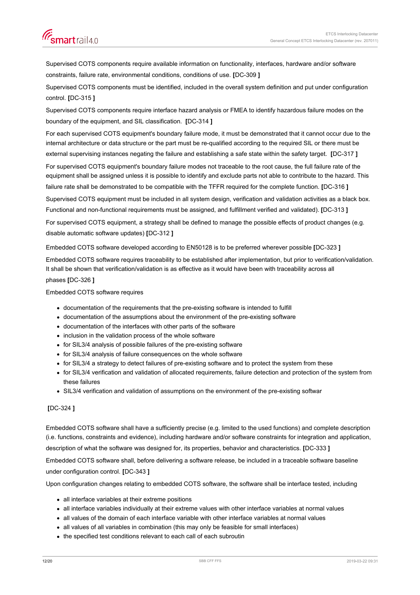Supervised COTS components require available information on functionality, interfaces, hardware and/or software constraints, failure rate, environmental conditions, conditions of use. **[**DC-309 **]**

Supervised COTS components must be identified, included in the overall system definition and put under configuration control. **[**DC-315 **]**

Supervised COTS components require interface hazard analysis or FMEA to identify hazardous failure modes on the boundary of the equipment, and SIL classification. **[**DC-314 **]**

For each supervised COTS equipment's boundary failure mode, it must be demonstrated that it cannot occur due to the internal architecture or data structure or the part must be re-qualified according to the required SIL or there must be

external supervising instances negating the failure and establishing a safe state within the safety target. **[**DC-317 **]**

For supervised COTS equipment's boundary failure modes not traceable to the root cause, the full failure rate of the equipment shall be assigned unless it is possible to identify and exclude parts not able to contribute to the hazard. This failure rate shall be demonstrated to be compatible with the TFFR required for the complete function. **[**DC-316 **]**

Supervised COTS equipment must be included in all system design, verification and validation activities as a black box.

Functional and non-functional requirements must be assigned, and fulfillment verified and validated). **[**DC-313 **]**

For supervised COTS equipment, a strategy shall be defined to manage the possible effects of product changes (e.g. disable automatic software updates) **[**DC-312 **]**

Embedded COTS software developed according to EN50128 is to be preferred wherever possible **[**DC-323 **]**

Embedded COTS software requires traceability to be established after implementation, but prior to verification/validation. It shall be shown that verification/validation is as effective as it would have been with traceability across all

# phases **[**DC-326 **]**

Embedded COTS software requires

- documentation of the requirements that the pre-existing software is intended to fulfill
- documentation of the assumptions about the environment of the pre-existing software
- documentation of the interfaces with other parts of the software
- inclusion in the validation process of the whole software
- for SIL3/4 analysis of possible failures of the pre-existing software
- for SIL3/4 analysis of failure consequences on the whole software
- for SIL3/4 a strategy to detect failures of pre-existing software and to protect the system from these
- for SIL3/4 verification and validation of allocated requirements, failure detection and protection of the system from these failures
- SIL3/4 verification and validation of assumptions on the environment of the pre-existing softwar

# **[**DC-324 **]**

Embedded COTS software shall have a sufficiently precise (e.g. limited to the used functions) and complete description (i.e. functions, constraints and evidence), including hardware and/or software constraints for integration and application, description of what the software was designed for, its properties, behavior and characteristics. **[**DC-333 **]**

Embedded COTS software shall, before delivering a software release, be included in a traceable software baseline under configuration control. **[**DC-343 **]**

Upon configuration changes relating to embedded COTS software, the software shall be interface tested, including

- all interface variables at their extreme positions
- all interface variables individually at their extreme values with other interface variables at normal values
- all values of the domain of each interface variable with other interface variables at normal values
- all values of all variables in combination (this may only be feasible for small interfaces)
- the specified test conditions relevant to each call of each subroutin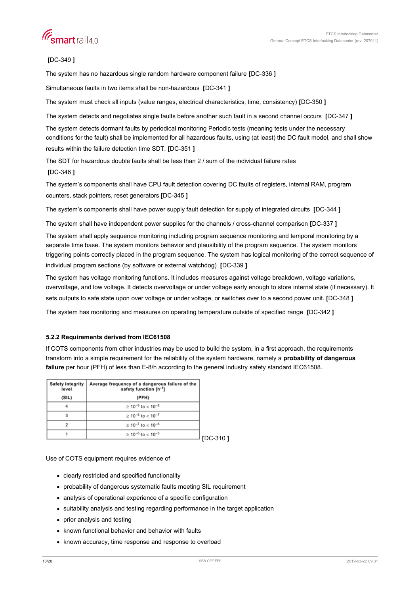# <span id="page-12-0"></span>**[**DC-349 **]**

The system has no hazardous single random hardware component failure **[**DC-336 **]**

Simultaneous faults in two items shall be non-hazardous **[**DC-341 **]**

The system must check all inputs (value ranges, electrical characteristics, time, consistency) **[**DC-350 **]**

The system detects and negotiates single faults before another such fault in a second channel occurs **[**DC-347 **]**

The system detects dormant faults by periodical monitoring Periodic tests (meaning tests under the necessary conditions for the fault) shall be implemented for all hazardous faults, using (at least) the DC fault model, and shall show results within the failure detection time SDT. **[**DC-351 **]**

The SDT for hazardous double faults shall be less than 2 / sum of the individual failure rates

#### **[**DC-346 **]**

The system's components shall have CPU fault detection covering DC faults of registers, internal RAM, program counters, stack pointers, reset generators **[**DC-345 **]**

The system's components shall have power supply fault detection for supply of integrated circuits **[**DC-344 **]**

The system shall have independent power supplies for the channels / cross-channel comparison **[**DC-337 **]**

The system shall apply sequence monitoring including program sequence monitoring and temporal monitoring by a separate time base. The system monitors behavior and plausibility of the program sequence. The system monitors triggering points correctly placed in the program sequence. The system has logical monitoring of the correct sequence of individual program sections (by software or external watchdog) **[**DC-339 **]**

The system has voltage monitoring functions. It includes measures against voltage breakdown, voltage variations, overvoltage, and low voltage. It detects overvoltage or under voltage early enough to store internal state (if necessary). It sets outputs to safe state upon over voltage or under voltage, or switches over to a second power unit. **[**DC-348 **]**

The system has monitoring and measures on operating temperature outside of specified range **[**DC-342 **]**

#### **5.2.2 Requirements derived from IEC61508**

If COTS components from other industries may be used to build the system, in a first approach, the requirements transform into a simple requirement for the reliability of the system hardware, namely a **probability of dangerous failure** per hour (PFH) of less than E-8/h according to the general industry safety standard IEC61508.

| <b>Safety integrity</b><br>level | Average frequency of a dangerous failure of the<br>safety function [h <sup>-1</sup> ] |
|----------------------------------|---------------------------------------------------------------------------------------|
| (SIL)                            | (PFH)                                                                                 |
|                                  | $> 10^{-9}$ to < 10 <sup>-8</sup>                                                     |
| 3                                | $\geq 10^{-8}$ to < 10 <sup>-7</sup>                                                  |
|                                  | $\geq 10^{-7}$ to < 10 <sup>-6</sup>                                                  |
|                                  | $\geq 10^{-6}$ to < 10 <sup>-5</sup>                                                  |
|                                  |                                                                                       |

Use of COTS equipment requires evidence of

- clearly restricted and specified functionality
- probability of dangerous systematic faults meeting SIL requirement
- analysis of operational experience of a specific configuration
- suitability analysis and testing regarding performance in the target application
- prior analysis and testing
- known functional behavior and behavior with faults
- known accuracy, time response and response to overload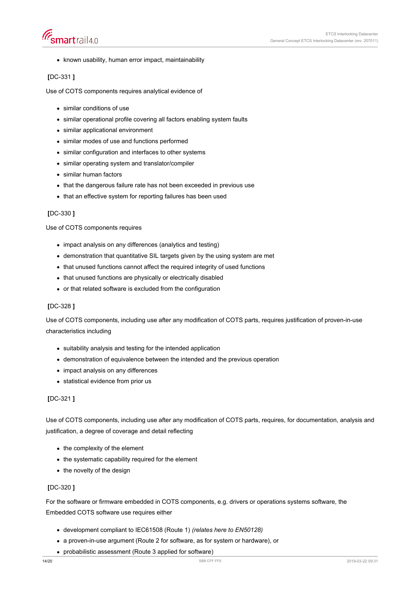



• known usability, human error impact, maintainability

# **[**DC-331 **]**

Use of COTS components requires analytical evidence of

- similar conditions of use
- similar operational profile covering all factors enabling system faults
- similar applicational environment
- similar modes of use and functions performed
- similar configuration and interfaces to other systems
- similar operating system and translator/compiler
- similar human factors
- that the dangerous failure rate has not been exceeded in previous use
- that an effective system for reporting failures has been used

#### **[**DC-330 **]**

Use of COTS components requires

- impact analysis on any differences (analytics and testing)
- demonstration that quantitative SIL targets given by the using system are met
- that unused functions cannot affect the required integrity of used functions
- that unused functions are physically or electrically disabled
- or that related software is excluded from the configuration

## **[**DC-328 **]**

Use of COTS components, including use after any modification of COTS parts, requires justification of proven-in-use characteristics including

- suitability analysis and testing for the intended application
- demonstration of equivalence between the intended and the previous operation
- impact analysis on any differences
- statistical evidence from prior us

## **[**DC-321 **]**

Use of COTS components, including use after any modification of COTS parts, requires, for documentation, analysis and justification, a degree of coverage and detail reflecting

- $\bullet$  the complexity of the element
- the systematic capability required for the element
- the novelty of the design

## **[**DC-320 **]**

For the software or firmware embedded in COTS components, e.g. drivers or operations systems software, the Embedded COTS software use requires either

- development compliant to IEC61508 (Route 1) *(relates here to EN50128)*
- a proven-in-use argument (Route 2 for software, as for system or hardware), or
- probabilistic assessment (Route 3 applied for software)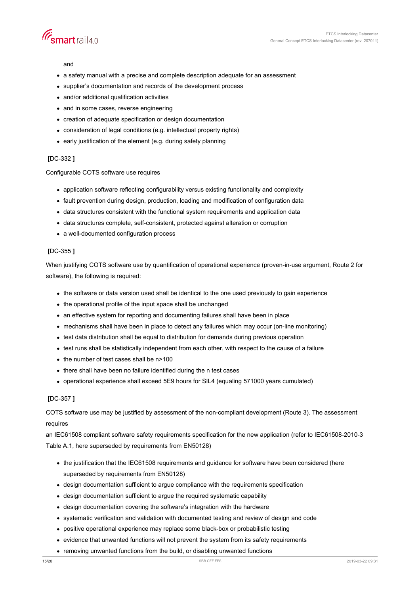

and

- a safety manual with a precise and complete description adequate for an assessment
- supplier's documentation and records of the development process
- and/or additional qualification activities
- and in some cases, reverse engineering
- creation of adequate specification or design documentation
- consideration of legal conditions (e.g. intellectual property rights)
- early justification of the element (e.g. during safety planning

## **[**DC-332 **]**

#### Configurable COTS software use requires

- application software reflecting configurability versus existing functionality and complexity
- fault prevention during design, production, loading and modification of configuration data
- data structures consistent with the functional system requirements and application data
- data structures complete, self-consistent, protected against alteration or corruption
- a well-documented configuration process

#### **[**DC-355 **]**

When justifying COTS software use by quantification of operational experience (proven-in-use argument, Route 2 for software), the following is required:

- the software or data version used shall be identical to the one used previously to gain experience
- the operational profile of the input space shall be unchanged
- an effective system for reporting and documenting failures shall have been in place
- mechanisms shall have been in place to detect any failures which may occur (on-line monitoring)
- test data distribution shall be equal to distribution for demands during previous operation
- test runs shall be statistically independent from each other, with respect to the cause of a failure
- the number of test cases shall be n>100
- there shall have been no failure identified during the n test cases
- operational experience shall exceed 5E9 hours for SIL4 (equaling 571000 years cumulated)

## **[**DC-357 **]**

COTS software use may be justified by assessment of the non-compliant development (Route 3). The assessment requires

an IEC61508 compliant software safety requirements specification for the new application (refer to IEC61508-2010-3 Table A.1, here superseded by requirements from EN50128)

- the justification that the IEC61508 requirements and guidance for software have been considered (here superseded by requirements from EN50128)
- design documentation sufficient to argue compliance with the requirements specification
- design documentation sufficient to argue the required systematic capability
- design documentation covering the software's integration with the hardware
- systematic verification and validation with documented testing and review of design and code
- positive operational experience may replace some black-box or probabilistic testing
- evidence that unwanted functions will not prevent the system from its safety requirements
- removing unwanted functions from the build, or disabling unwanted functions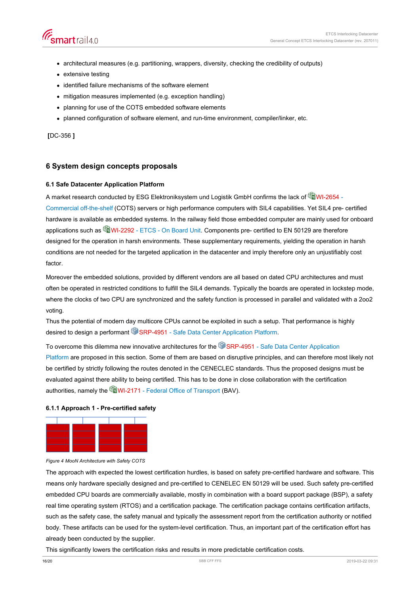- <span id="page-15-0"></span>architectural measures (e.g. partitioning, wrappers, diversity, checking the credibility of outputs)
- extensive testing
- identified failure mechanisms of the software element
- mitigation measures implemented (e.g. exception handling)
- planning for use of the COTS embedded software elements
- planned configuration of software element, and run-time environment, compiler/linker, etc.

**[**DC-356 **]**

# **6 System design concepts proposals**

#### **6.1 Safe Datacenter Application Platform**

A market research conducted by ESG Elektroniksystem und Logistik GmbH confirms the lack of CuVI-2654 -[Commercial off-the-shelf](https://trace.sbb.ch/polarion/#/project/library/workitem?id=WI-2654) (COTS) servers or high performance computers with SIL4 capabilities. Yet SIL4 pre- certified hardware is available as embedded systems. In the railway field those embedded computer are mainly used for onboard applications such as **W**I-2292 - ETCS - On Board Unit. Components pre- certified to EN 50129 are therefore designed for the operation in harsh environments. These supplementary requirements, yielding the operation in harsh conditions are not needed for the targeted application in the datacenter and imply therefore only an unjustifiably cost factor.

Moreover the embedded solutions, provided by different vendors are all based on dated CPU architectures and must often be operated in restricted conditions to fulfill the SIL4 demands. Typically the boards are operated in lockstep mode, where the clocks of two CPU are synchronized and the safety function is processed in parallel and validated with a 2oo2 voting.

Thus the potential of modern day multicore CPUs cannot be exploited in such a setup. That performance is highly desired to design a performant SI [SRP-4951 - Safe Data Center Application Platform](https://trace.sbb.ch/polarion/#/project/SR40_Programm/workitem?id=SRP-4951).

To overcome this dilemma new innovative architectures for the [SRP-4951 - Safe Data Center Application](https://trace.sbb.ch/polarion/#/project/SR40_Programm/workitem?id=SRP-4951) [Platform](https://trace.sbb.ch/polarion/#/project/SR40_Programm/workitem?id=SRP-4951) are proposed in this section. Some of them are based on disruptive principles, and can therefore most likely not be certified by strictly following the routes denoted in the CENECLEC standards. Thus the proposed designs must be evaluated against there ability to being certified. This has to be done in close collaboration with the certification authorities, namely the [WI-2171 - Federal Office of Transport](https://trace.sbb.ch/polarion/#/project/library/workitem?id=WI-2171) (BAV).

#### **6.1.1 Approach 1 - Pre-certified safety**



*Figure 4 MooN Architecture with Safety COTS*

The approach with expected the lowest certification hurdles, is based on safety pre-certified hardware and software. This means only hardware specially designed and pre-certified to CENELEC EN 50129 will be used. Such safety pre-certified embedded CPU boards are commercially available, mostly in combination with a board support package (BSP), a safety real time operating system (RTOS) and a certification package. The certification package contains certification artifacts, such as the safety case, the safety manual and typically the assessment report from the certification authority or notified body. These artifacts can be used for the system-level certification. Thus, an important part of the certification effort has already been conducted by the supplier.

This significantly lowers the certification risks and results in more predictable certification costs.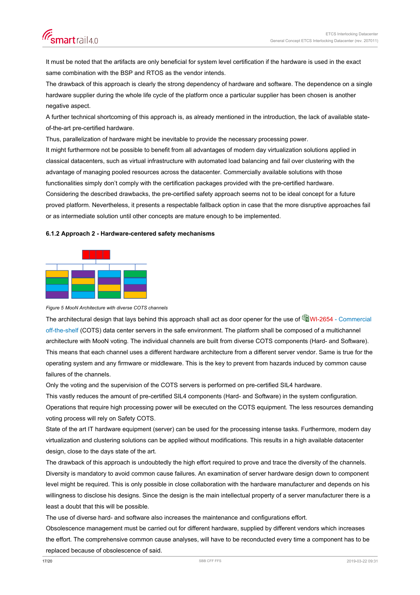<span id="page-16-0"></span>It must be noted that the artifacts are only beneficial for system level certification if the hardware is used in the exact same combination with the BSP and RTOS as the vendor intends.

The drawback of this approach is clearly the strong dependency of hardware and software. The dependence on a single hardware supplier during the whole life cycle of the platform once a particular supplier has been chosen is another negative aspect.

A further technical shortcoming of this approach is, as already mentioned in the introduction, the lack of available stateof-the-art pre-certified hardware.

Thus, parallelization of hardware might be inevitable to provide the necessary processing power. It might furthermore not be possible to benefit from all advantages of modern day virtualization solutions applied in classical datacenters, such as virtual infrastructure with automated load balancing and fail over clustering with the advantage of managing pooled resources across the datacenter. Commercially available solutions with those functionalities simply don't comply with the certification packages provided with the pre-certified hardware. Considering the described drawbacks, the pre-certified safety approach seems not to be ideal concept for a future proved platform. Nevertheless, it presents a respectable fallback option in case that the more disruptive approaches fail or as intermediate solution until other concepts are mature enough to be implemented.

#### **6.1.2 Approach 2 - Hardware-centered safety mechanisms**



*Figure 5 MooN Architecture with diverse COTS channels*

The architectural design that lays behind this approach shall act as door opener for the use of WAI-2654 - Commercial [off-the-shelf](https://trace.sbb.ch/polarion/#/project/library/workitem?id=WI-2654) (COTS) data center servers in the safe environment. The platform shall be composed of a multichannel architecture with MooN voting. The individual channels are built from diverse COTS components (Hard- and Software). This means that each channel uses a different hardware architecture from a different server vendor. Same is true for the operating system and any firmware or middleware. This is the key to prevent from hazards induced by common cause failures of the channels.

Only the voting and the supervision of the COTS servers is performed on pre-certified SIL4 hardware.

This vastly reduces the amount of pre-certified SIL4 components (Hard- and Software) in the system configuration. Operations that require high processing power will be executed on the COTS equipment. The less resources demanding voting process will rely on Safety COTS.

State of the art IT hardware equipment (server) can be used for the processing intense tasks. Furthermore, modern day virtualization and clustering solutions can be applied without modifications. This results in a high available datacenter design, close to the days state of the art.

The drawback of this approach is undoubtedly the high effort required to prove and trace the diversity of the channels. Diversity is mandatory to avoid common cause failures. An examination of server hardware design down to component level might be required. This is only possible in close collaboration with the hardware manufacturer and depends on his willingness to disclose his designs. Since the design is the main intellectual property of a server manufacturer there is a least a doubt that this will be possible.

The use of diverse hard- and software also increases the maintenance and configurations effort.

Obsolescence management must be carried out for different hardware, supplied by different vendors which increases the effort. The comprehensive common cause analyses, will have to be reconducted every time a component has to be replaced because of obsolescence of said.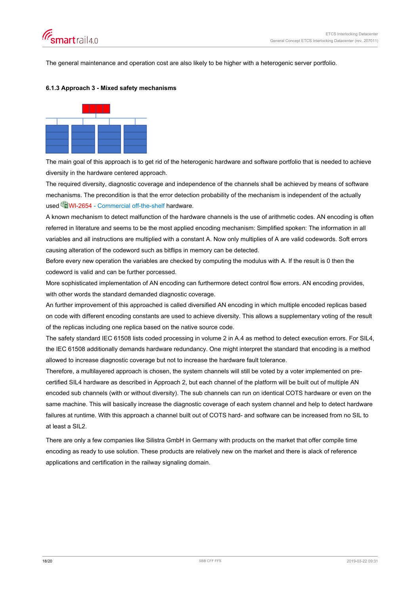<span id="page-17-0"></span>

The general maintenance and operation cost are also likely to be higher with a heterogenic server portfolio.

#### **6.1.3 Approach 3 - Mixed safety mechanisms**



The main goal of this approach is to get rid of the heterogenic hardware and software portfolio that is needed to achieve diversity in the hardware centered approach.

The required diversity, diagnostic coverage and independence of the channels shall be achieved by means of software mechanisms. The precondition is that the error detection probability of the mechanism is independent of the actually used [WI-2654 - Commercial off-the-shelf](https://trace.sbb.ch/polarion/#/project/library/workitem?id=WI-2654) hardware.

A known mechanism to detect malfunction of the hardware channels is the use of arithmetic codes. AN encoding is often referred in literature and seems to be the most applied encoding mechanism: Simplified spoken: The information in all variables and all instructions are multiplied with a constant A. Now only multiplies of A are valid codewords. Soft errors causing alteration of the codeword such as bitflips in memory can be detected.

Before every new operation the variables are checked by computing the modulus with A. If the result is 0 then the codeword is valid and can be further porcessed.

More sophisticated implementation of AN encoding can furthermore detect control flow errors. AN encoding provides, with other words the standard demanded diagnostic coverage.

An further improvement of this approached is called diversified AN encoding in which multiple encoded replicas based on code with different encoding constants are used to achieve diversity. This allows a supplementary voting of the result of the replicas including one replica based on the native source code.

The safety standard IEC 61508 lists coded processing in volume 2 in A.4 as method to detect execution errors. For SIL4, the IEC 61508 additionally demands hardware redundancy. One might interpret the standard that encoding is a method allowed to increase diagnostic coverage but not to increase the hardware fault tolerance.

Therefore, a multilayered approach is chosen, the system channels will still be voted by a voter implemented on precertified SIL4 hardware as described in Approach 2, but each channel of the platform will be built out of multiple AN encoded sub channels (with or without diversity). The sub channels can run on identical COTS hardware or even on the same machine. This will basically increase the diagnostic coverage of each system channel and help to detect hardware failures at runtime. With this approach a channel built out of COTS hard- and software can be increased from no SIL to at least a SIL2.

There are only a few companies like Silistra GmbH in Germany with products on the market that offer compile time encoding as ready to use solution. These products are relatively new on the market and there is alack of reference applications and certification in the railway signaling domain.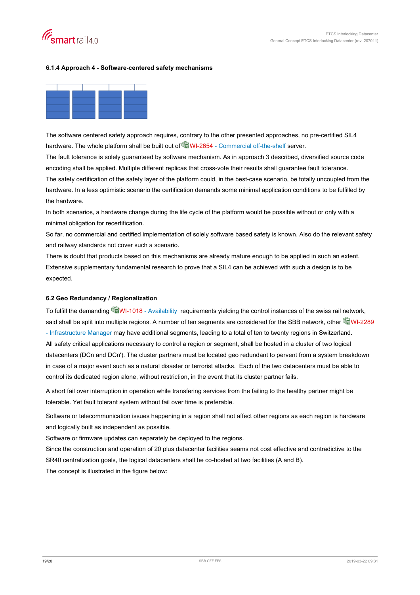#### <span id="page-18-0"></span>**6.1.4 Approach 4 - Software-centered safety mechanisms**



The software centered safety approach requires, contrary to the other presented approaches, no pre-certified SIL4 hardware. The whole platform shall be built out of **WI-2654** - Commercial off-the-shelf server.

The fault tolerance is solely guaranteed by software mechanism. As in approach 3 described, diversified source code encoding shall be applied. Multiple different replicas that cross-vote their results shall guarantee fault tolerance.

The safety certification of the safety layer of the platform could, in the best-case scenario, be totally uncoupled from the hardware. In a less optimistic scenario the certification demands some minimal application conditions to be fulfilled by the hardware.

In both scenarios, a hardware change during the life cycle of the platform would be possible without or only with a minimal obligation for recertification.

So far, no commercial and certified implementation of solely software based safety is known. Also do the relevant safety and railway standards not cover such a scenario.

There is doubt that products based on this mechanisms are already mature enough to be applied in such an extent. Extensive supplementary fundamental research to prove that a SIL4 can be achieved with such a design is to be expected.

## **6.2 Geo Redundancy / Regionalization**

To fulfill the demanding **WI-1018** - Availability requirements yielding the control instances of the swiss rail network, said shall be split into multiple regions. A number of ten segments are considered for the SBB network, other  $\hat{\mathbb{Q}}$ WI-2289 [- Infrastructure Manager](https://trace.sbb.ch/polarion/#/project/library/workitem?id=WI-2289) may have additional segments, leading to a total of ten to twenty regions in Switzerland. All safety critical applications necessary to control a region or segment, shall be hosted in a cluster of two logical datacenters (DCn and DCn'). The cluster partners must be located geo redundant to pervent from a system breakdown in case of a major event such as a natural disaster or terrorist attacks. Each of the two datacenters must be able to control its dedicated region alone, without restriction, in the event that its cluster partner fails.

A short fail over interruption in operation while transfering services from the failing to the healthy partner might be tolerable. Yet fault tolerant system without fail over time is preferable.

Software or telecommunication issues happening in a region shall not affect other regions as each region is hardware and logically built as independent as possible.

Software or firmware updates can separately be deployed to the regions.

Since the construction and operation of 20 plus datacenter facilities seams not cost effective and contradictive to the SR40 centralization goals, the logical datacenters shall be co-hosted at two facilities (A and B).

The concept is illustrated in the figure below: